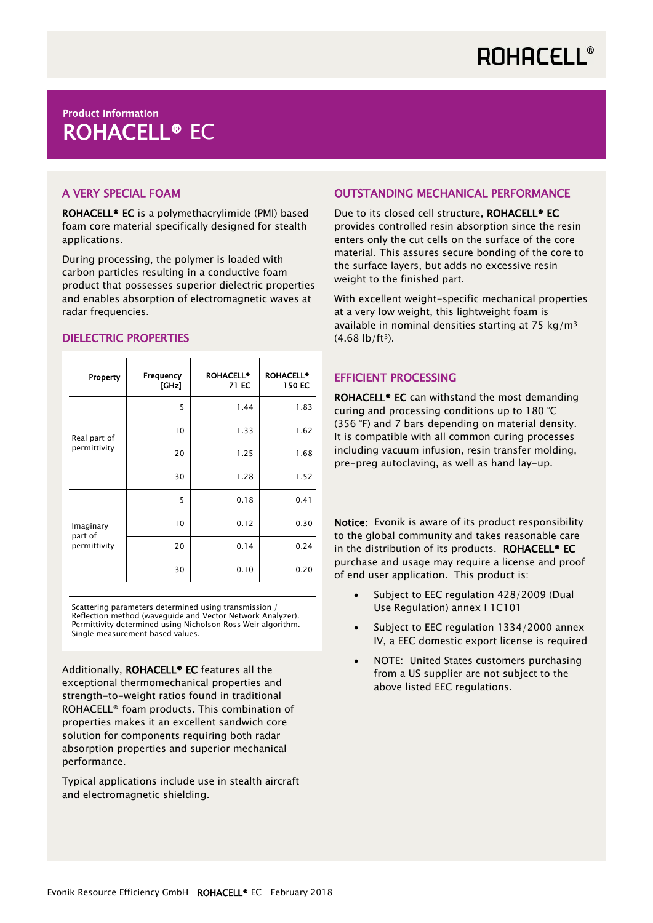# Product Information ROHACELL® EC

## A VERY SPECIAL FOAM

ROHACELL® EC is a polymethacrylimide (PMI) based foam core material specifically designed for stealth applications.

During processing, the polymer is loaded with carbon particles resulting in a conductive foam product that possesses superior dielectric properties and enables absorption of electromagnetic waves at radar frequencies.

## DIELECTRIC PROPERTIES

| Property                             | Frequency<br>[GHz] | <b>ROHACELL®</b><br>71 EC | <b>ROHACELL<sup>®</sup></b><br>150 EC |
|--------------------------------------|--------------------|---------------------------|---------------------------------------|
| Real part of<br>permittivity         | 5                  | 1.44                      | 1.83                                  |
|                                      | 10                 | 1.33                      | 1.62                                  |
|                                      | 20                 | 1.25                      | 1.68                                  |
|                                      | 30                 | 1.28                      | 1.52                                  |
| Imaginary<br>part of<br>permittivity | 5                  | 0.18                      | 0.41                                  |
|                                      | 10                 | 0.12                      | 0.30                                  |
|                                      | 20                 | 0.14                      | 0.24                                  |
|                                      | 30                 | 0.10                      | 0.20                                  |

Scattering parameters determined using transmission / Reflection method (waveguide and Vector Network Analyzer). Permittivity determined using Nicholson Ross Weir algorithm. Single measurement based values.

Additionally, ROHACELL® EC features all the exceptional thermomechanical properties and strength-to-weight ratios found in traditional ROHACELL® foam products. This combination of properties makes it an excellent sandwich core solution for components requiring both radar absorption properties and superior mechanical performance.

Typical applications include use in stealth aircraft and electromagnetic shielding.

#### OUTSTANDING MECHANICAL PERFORMANCE

Due to its closed cell structure, ROHACELL<sup>®</sup> EC provides controlled resin absorption since the resin enters only the cut cells on the surface of the core material. This assures secure bonding of the core to the surface layers, but adds no excessive resin weight to the finished part.

With excellent weight-specific mechanical properties at a very low weight, this lightweight foam is available in nominal densities starting at 75 kg/m<sup>3</sup>  $(4.68 \text{ lb/ft}^3)$ .

#### EFFICIENT PROCESSING

ROHACELL® EC can withstand the most demanding curing and processing conditions up to 180 °C (356 °F) and 7 bars depending on material density. It is compatible with all common curing processes including vacuum infusion, resin transfer molding, pre-preg autoclaving, as well as hand lay-up.

Notice: Evonik is aware of its product responsibility to the global community and takes reasonable care in the distribution of its products. ROHACELL<sup>®</sup> EC purchase and usage may require a license and proof of end user application. This product is:

- Subject to EEC regulation 428/2009 (Dual Use Regulation) annex I 1C101
- Subject to EEC regulation 1334/2000 annex IV, a EEC domestic export license is required
- NOTE: United States customers purchasing from a US supplier are not subject to the above listed EEC regulations.